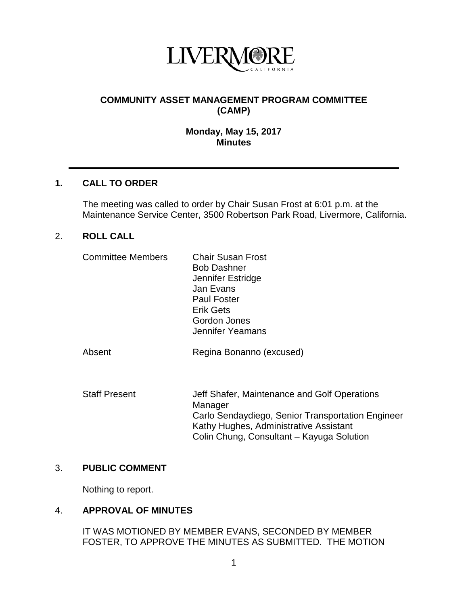

# **COMMUNITY ASSET MANAGEMENT PROGRAM COMMITTEE (CAMP)**

#### **Monday, May 15, 2017 Minutes**

### **1. CALL TO ORDER**

The meeting was called to order by Chair Susan Frost at 6:01 p.m. at the Maintenance Service Center, 3500 Robertson Park Road, Livermore, California.

### 2. **ROLL CALL**

| <b>Committee Members</b> | <b>Chair Susan Frost</b><br><b>Bob Dashner</b><br>Jennifer Estridge<br>Jan Evans<br><b>Paul Foster</b><br><b>Erik Gets</b><br>Gordon Jones<br>Jennifer Yeamans |
|--------------------------|----------------------------------------------------------------------------------------------------------------------------------------------------------------|
| Absent                   | Regina Bonanno (excused)                                                                                                                                       |
| <b>Staff Present</b>     | Jeff Shafer, Maintenance and Golf Operations<br>Manager<br>Carlo Sendaydiego, Senior Transportation Engineer                                                   |

Kathy Hughes, Administrative Assistant Colin Chung, Consultant – Kayuga Solution

### 3. **PUBLIC COMMENT**

Nothing to report.

### 4. **APPROVAL OF MINUTES**

IT WAS MOTIONED BY MEMBER EVANS, SECONDED BY MEMBER FOSTER, TO APPROVE THE MINUTES AS SUBMITTED. THE MOTION